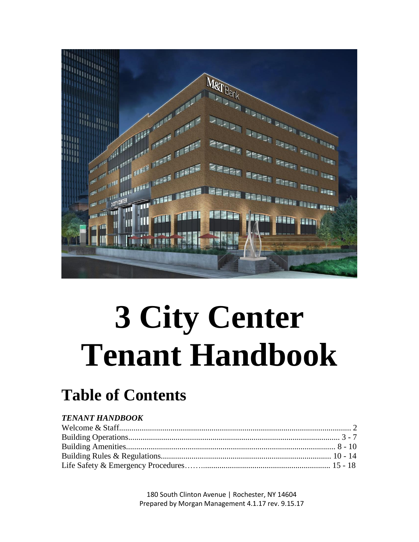

# **3 City Center Tenant Handbook**

# **Table of Contents**

# *TENANT HANDBOOK*

180 South Clinton Avenue | Rochester, NY 14604 Prepared by Morgan Management 4.1.17 rev. 9.15.17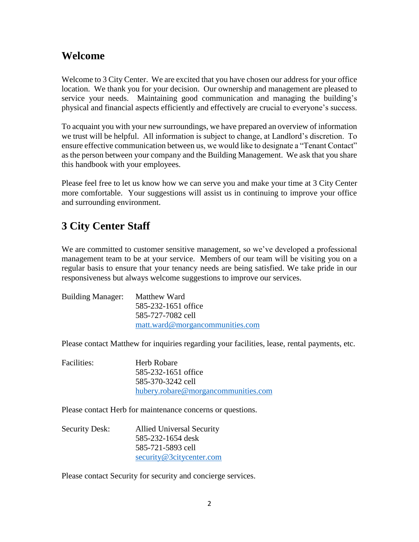# **Welcome**

Welcome to 3 City Center. We are excited that you have chosen our address for your office location. We thank you for your decision. Our ownership and management are pleased to service your needs. Maintaining good communication and managing the building's physical and financial aspects efficiently and effectively are crucial to everyone's success.

To acquaint you with your new surroundings, we have prepared an overview of information we trust will be helpful. All information is subject to change, at Landlord's discretion. To ensure effective communication between us, we would like to designate a "Tenant Contact" as the person between your company and the Building Management. We ask that you share this handbook with your employees.

Please feel free to let us know how we can serve you and make your time at 3 City Center more comfortable. Your suggestions will assist us in continuing to improve your office and surrounding environment.

# **3 City Center Staff**

We are committed to customer sensitive management, so we've developed a professional management team to be at your service. Members of our team will be visiting you on a regular basis to ensure that your tenancy needs are being satisfied. We take pride in our responsiveness but always welcome suggestions to improve our services.

| <b>Building Manager:</b> | Matthew Ward                    |
|--------------------------|---------------------------------|
|                          | 585-232-1651 office             |
|                          | 585-727-7082 cell               |
|                          | matt.ward@morgancommunities.com |

Please contact Matthew for inquiries regarding your facilities, lease, rental payments, etc.

Facilities: Herb Robare 585-232-1651 office 585-370-3242 cell [hubery.robare@morgancommunities.com](mailto:hubery.robare@morgancommunities.com)

Please contact Herb for maintenance concerns or questions.

| <b>Security Desk:</b> | <b>Allied Universal Security</b> |
|-----------------------|----------------------------------|
|                       | 585-232-1654 desk                |
|                       | 585-721-5893 cell                |
|                       | security@3citycenter.com         |

Please contact Security for security and concierge services.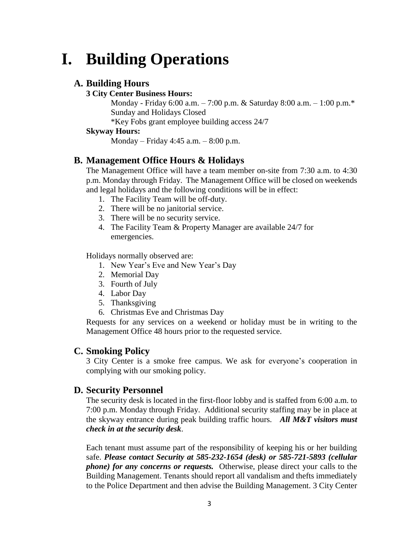# **I. Building Operations**

# **A. Building Hours**

#### **3 City Center Business Hours:**

Monday - Friday 6:00 a.m. – 7:00 p.m. & Saturday 8:00 a.m. – 1:00 p.m.\* Sunday and Holidays Closed

\*Key Fobs grant employee building access 24/7

#### **Skyway Hours:**

Monday – Friday 4:45 a.m. – 8:00 p.m.

# **B. Management Office Hours & Holidays**

The Management Office will have a team member on-site from 7:30 a.m. to 4:30 p.m. Monday through Friday. The Management Office will be closed on weekends and legal holidays and the following conditions will be in effect:

- 1. The Facility Team will be off-duty.
- 2. There will be no janitorial service.
- 3. There will be no security service.
- 4. The Facility Team & Property Manager are available 24/7 for emergencies.

Holidays normally observed are:

- 1. New Year's Eve and New Year's Day
- 2. Memorial Day
- 3. Fourth of July
- 4. Labor Day
- 5. Thanksgiving
- 6. Christmas Eve and Christmas Day

Requests for any services on a weekend or holiday must be in writing to the Management Office 48 hours prior to the requested service.

#### **C. Smoking Policy**

3 City Center is a smoke free campus. We ask for everyone's cooperation in complying with our smoking policy.

# **D. Security Personnel**

The security desk is located in the first-floor lobby and is staffed from 6:00 a.m. to 7:00 p.m. Monday through Friday. Additional security staffing may be in place at the skyway entrance during peak building traffic hours. *All M&T visitors must check in at the security desk*.

Each tenant must assume part of the responsibility of keeping his or her building safe. *Please contact Security at 585-232-1654 (desk) or 585-721-5893 (cellular phone) for any concerns or requests.* Otherwise, please direct your calls to the Building Management. Tenants should report all vandalism and thefts immediately to the Police Department and then advise the Building Management. 3 City Center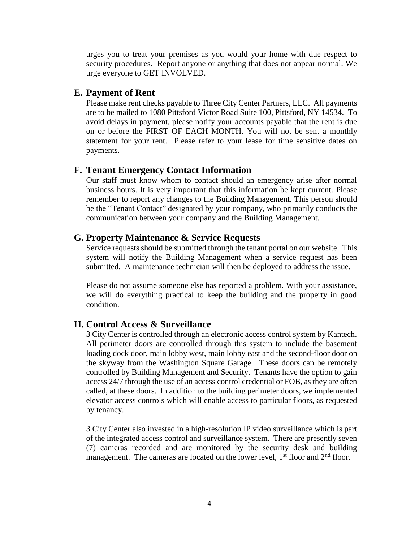urges you to treat your premises as you would your home with due respect to security procedures. Report anyone or anything that does not appear normal. We urge everyone to GET INVOLVED.

#### **E. Payment of Rent**

Please make rent checks payable to Three City Center Partners, LLC. All payments are to be mailed to 1080 Pittsford Victor Road Suite 100, Pittsford, NY 14534. To avoid delays in payment, please notify your accounts payable that the rent is due on or before the FIRST OF EACH MONTH. You will not be sent a monthly statement for your rent. Please refer to your lease for time sensitive dates on payments.

#### **F. Tenant Emergency Contact Information**

Our staff must know whom to contact should an emergency arise after normal business hours. It is very important that this information be kept current. Please remember to report any changes to the Building Management. This person should be the "Tenant Contact" designated by your company, who primarily conducts the communication between your company and the Building Management.

#### **G. Property Maintenance & Service Requests**

Service requests should be submitted through the tenant portal on our website. This system will notify the Building Management when a service request has been submitted. A maintenance technician will then be deployed to address the issue.

Please do not assume someone else has reported a problem. With your assistance, we will do everything practical to keep the building and the property in good condition.

#### **H. Control Access & Surveillance**

3 City Center is controlled through an electronic access control system by Kantech. All perimeter doors are controlled through this system to include the basement loading dock door, main lobby west, main lobby east and the second-floor door on the skyway from the Washington Square Garage. These doors can be remotely controlled by Building Management and Security. Tenants have the option to gain access 24/7 through the use of an access control credential or FOB, as they are often called, at these doors. In addition to the building perimeter doors, we implemented elevator access controls which will enable access to particular floors, as requested by tenancy.

3 City Center also invested in a high-resolution IP video surveillance which is part of the integrated access control and surveillance system. There are presently seven (7) cameras recorded and are monitored by the security desk and building management. The cameras are located on the lower level,  $1<sup>st</sup>$  floor and  $2<sup>nd</sup>$  floor.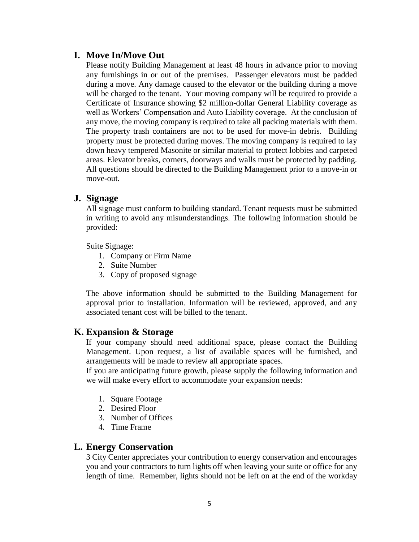# **I. Move In/Move Out**

Please notify Building Management at least 48 hours in advance prior to moving any furnishings in or out of the premises. Passenger elevators must be padded during a move. Any damage caused to the elevator or the building during a move will be charged to the tenant. Your moving company will be required to provide a Certificate of Insurance showing \$2 million-dollar General Liability coverage as well as Workers' Compensation and Auto Liability coverage. At the conclusion of any move, the moving company is required to take all packing materials with them. The property trash containers are not to be used for move-in debris. Building property must be protected during moves. The moving company is required to lay down heavy tempered Masonite or similar material to protect lobbies and carpeted areas. Elevator breaks, corners, doorways and walls must be protected by padding. All questions should be directed to the Building Management prior to a move-in or move-out.

#### **J. Signage**

All signage must conform to building standard. Tenant requests must be submitted in writing to avoid any misunderstandings. The following information should be provided:

Suite Signage:

- 1. Company or Firm Name
- 2. Suite Number
- 3. Copy of proposed signage

The above information should be submitted to the Building Management for approval prior to installation. Information will be reviewed, approved, and any associated tenant cost will be billed to the tenant.

# **K. Expansion & Storage**

If your company should need additional space, please contact the Building Management. Upon request, a list of available spaces will be furnished, and arrangements will be made to review all appropriate spaces.

If you are anticipating future growth, please supply the following information and we will make every effort to accommodate your expansion needs:

- 1. Square Footage
- 2. Desired Floor
- 3. Number of Offices
- 4. Time Frame

# **L. Energy Conservation**

3 City Center appreciates your contribution to energy conservation and encourages you and your contractors to turn lights off when leaving your suite or office for any length of time. Remember, lights should not be left on at the end of the workday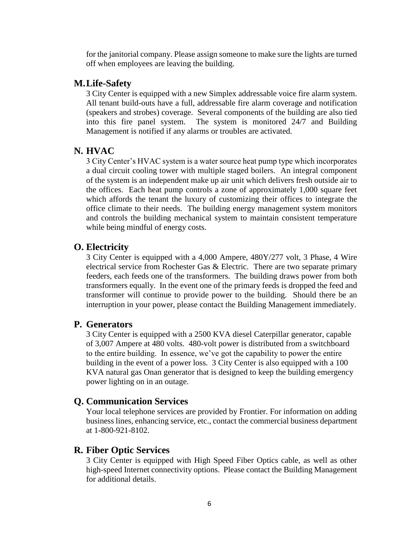for the janitorial company. Please assign someone to make sure the lights are turned off when employees are leaving the building.

#### **M.Life-Safety**

3 City Center is equipped with a new Simplex addressable voice fire alarm system. All tenant build-outs have a full, addressable fire alarm coverage and notification (speakers and strobes) coverage. Several components of the building are also tied into this fire panel system. The system is monitored 24/7 and Building Management is notified if any alarms or troubles are activated.

#### **N. HVAC**

3 City Center's HVAC system is a water source heat pump type which incorporates a dual circuit cooling tower with multiple staged boilers. An integral component of the system is an independent make up air unit which delivers fresh outside air to the offices. Each heat pump controls a zone of approximately 1,000 square feet which affords the tenant the luxury of customizing their offices to integrate the office climate to their needs. The building energy management system monitors and controls the building mechanical system to maintain consistent temperature while being mindful of energy costs.

#### **O. Electricity**

3 City Center is equipped with a 4,000 Ampere, 480Y/277 volt, 3 Phase, 4 Wire electrical service from Rochester Gas & Electric. There are two separate primary feeders, each feeds one of the transformers. The building draws power from both transformers equally. In the event one of the primary feeds is dropped the feed and transformer will continue to provide power to the building. Should there be an interruption in your power, please contact the Building Management immediately.

#### **P. Generators**

3 City Center is equipped with a 2500 KVA diesel Caterpillar generator, capable of 3,007 Ampere at 480 volts. 480-volt power is distributed from a switchboard to the entire building. In essence, we've got the capability to power the entire building in the event of a power loss. 3 City Center is also equipped with a 100 KVA natural gas Onan generator that is designed to keep the building emergency power lighting on in an outage.

#### **Q. Communication Services**

Your local telephone services are provided by Frontier. For information on adding business lines, enhancing service, etc., contact the commercial business department at 1-800-921-8102.

#### **R. Fiber Optic Services**

3 City Center is equipped with High Speed Fiber Optics cable, as well as other high-speed Internet connectivity options. Please contact the Building Management for additional details.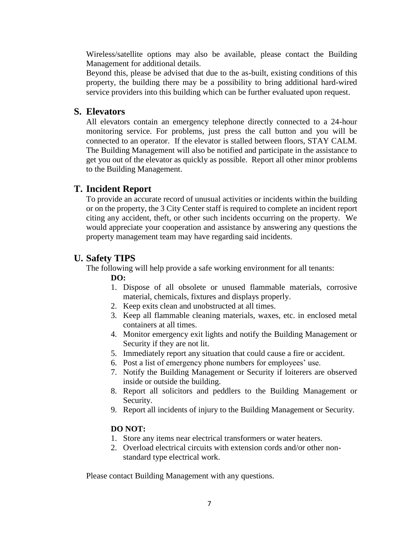Wireless/satellite options may also be available, please contact the Building Management for additional details.

Beyond this, please be advised that due to the as-built, existing conditions of this property, the building there may be a possibility to bring additional hard-wired service providers into this building which can be further evaluated upon request.

### **S. Elevators**

All elevators contain an emergency telephone directly connected to a 24-hour monitoring service. For problems, just press the call button and you will be connected to an operator. If the elevator is stalled between floors, STAY CALM. The Building Management will also be notified and participate in the assistance to get you out of the elevator as quickly as possible. Report all other minor problems to the Building Management.

### **T. Incident Report**

To provide an accurate record of unusual activities or incidents within the building or on the property, the 3 City Center staff is required to complete an incident report citing any accident, theft, or other such incidents occurring on the property. We would appreciate your cooperation and assistance by answering any questions the property management team may have regarding said incidents.

### **U. Safety TIPS**

The following will help provide a safe working environment for all tenants:

#### **DO:**

- 1. Dispose of all obsolete or unused flammable materials, corrosive material, chemicals, fixtures and displays properly.
- 2. Keep exits clean and unobstructed at all times.
- 3. Keep all flammable cleaning materials, waxes, etc. in enclosed metal containers at all times.
- 4. Monitor emergency exit lights and notify the Building Management or Security if they are not lit.
- 5. Immediately report any situation that could cause a fire or accident.
- 6. Post a list of emergency phone numbers for employees' use.
- 7. Notify the Building Management or Security if loiterers are observed inside or outside the building.
- 8. Report all solicitors and peddlers to the Building Management or Security.
- 9. Report all incidents of injury to the Building Management or Security.

#### **DO NOT:**

- 1. Store any items near electrical transformers or water heaters.
- 2. Overload electrical circuits with extension cords and/or other nonstandard type electrical work.

Please contact Building Management with any questions.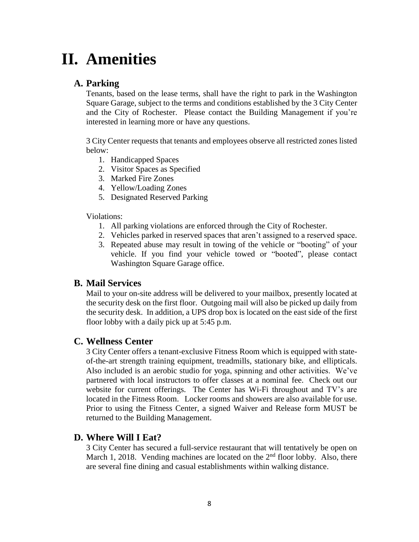# **II. Amenities**

# **A. Parking**

Tenants, based on the lease terms, shall have the right to park in the Washington Square Garage, subject to the terms and conditions established by the 3 City Center and the City of Rochester. Please contact the Building Management if you're interested in learning more or have any questions.

3 City Center requests that tenants and employees observe all restricted zones listed below:

- 1. Handicapped Spaces
- 2. Visitor Spaces as Specified
- 3. Marked Fire Zones
- 4. Yellow/Loading Zones
- 5. Designated Reserved Parking

#### Violations:

- 1. All parking violations are enforced through the City of Rochester.
- 2. Vehicles parked in reserved spaces that aren't assigned to a reserved space.
- 3. Repeated abuse may result in towing of the vehicle or "booting" of your vehicle. If you find your vehicle towed or "booted", please contact Washington Square Garage office.

# **B. Mail Services**

Mail to your on-site address will be delivered to your mailbox, presently located at the security desk on the first floor. Outgoing mail will also be picked up daily from the security desk. In addition, a UPS drop box is located on the east side of the first floor lobby with a daily pick up at 5:45 p.m.

# **C. Wellness Center**

3 City Center offers a tenant-exclusive Fitness Room which is equipped with stateof-the-art strength training equipment, treadmills, stationary bike, and ellipticals. Also included is an aerobic studio for yoga, spinning and other activities. We've partnered with local instructors to offer classes at a nominal fee. Check out our website for current offerings. The Center has Wi-Fi throughout and TV's are located in the Fitness Room. Locker rooms and showers are also available for use. Prior to using the Fitness Center, a signed Waiver and Release form MUST be returned to the Building Management.

# **D. Where Will I Eat?**

3 City Center has secured a full-service restaurant that will tentatively be open on March 1, 2018. Vending machines are located on the  $2<sup>nd</sup>$  floor lobby. Also, there are several fine dining and casual establishments within walking distance.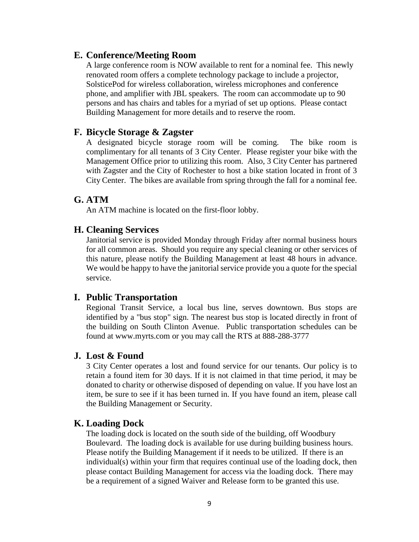#### **E. Conference/Meeting Room**

A large conference room is NOW available to rent for a nominal fee. This newly renovated room offers a complete technology package to include a projector, SolsticePod for wireless collaboration, wireless microphones and conference phone, and amplifier with JBL speakers. The room can accommodate up to 90 persons and has chairs and tables for a myriad of set up options. Please contact Building Management for more details and to reserve the room.

#### **F. Bicycle Storage & Zagster**

A designated bicycle storage room will be coming. The bike room is complimentary for all tenants of 3 City Center. Please register your bike with the Management Office prior to utilizing this room. Also, 3 City Center has partnered with Zagster and the City of Rochester to host a bike station located in front of 3 City Center. The bikes are available from spring through the fall for a nominal fee.

#### **G. ATM**

An ATM machine is located on the first-floor lobby.

#### **H. Cleaning Services**

Janitorial service is provided Monday through Friday after normal business hours for all common areas. Should you require any special cleaning or other services of this nature, please notify the Building Management at least 48 hours in advance. We would be happy to have the janitorial service provide you a quote for the special service.

#### **I. Public Transportation**

Regional Transit Service, a local bus line, serves downtown. Bus stops are identified by a "bus stop" sign. The nearest bus stop is located directly in front of the building on South Clinton Avenue. Public transportation schedules can be found at www.myrts.com or you may call the RTS at 888-288-3777

#### **J. Lost & Found**

3 City Center operates a lost and found service for our tenants. Our policy is to retain a found item for 30 days. If it is not claimed in that time period, it may be donated to charity or otherwise disposed of depending on value. If you have lost an item, be sure to see if it has been turned in. If you have found an item, please call the Building Management or Security.

#### **K. Loading Dock**

The loading dock is located on the south side of the building, off Woodbury Boulevard. The loading dock is available for use during building business hours. Please notify the Building Management if it needs to be utilized. If there is an individual(s) within your firm that requires continual use of the loading dock, then please contact Building Management for access via the loading dock. There may be a requirement of a signed Waiver and Release form to be granted this use.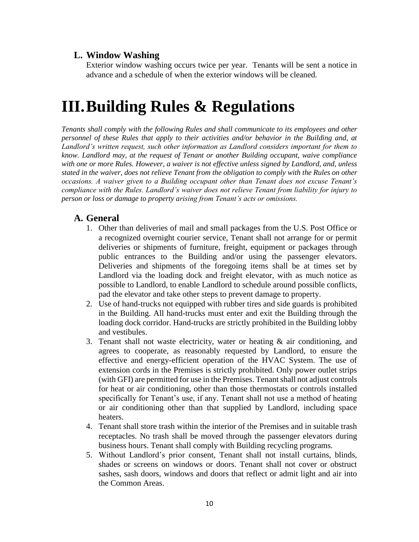# **L. Window Washing**

Exterior window washing occurs twice per year. Tenants will be sent a notice in advance and a schedule of when the exterior windows will be cleaned.

# **III.Building Rules & Regulations**

*Tenants shall comply with the following Rules and shall communicate to its employees and other personnel of these Rules that apply to their activities and/or behavior in the Building and, at Landlord's written request, such other information as Landlord considers important for them to know. Landlord may, at the request of Tenant or another Building occupant, waive compliance with one or more Rules. However, a waiver is not effective unless signed by Landlord, and, unless stated in the waiver, does not relieve Tenant from the obligation to comply with the Rules on other occasions. A waiver given to a Building occupant other than Tenant does not excuse Tenant's compliance with the Rules. Landlord's waiver does not relieve Tenant from liability for injury to person or loss or damage to property arising from Tenant's acts or omissions.* 

# **A. General**

- 1. Other than deliveries of mail and small packages from the U.S. Post Office or a recognized overnight courier service, Tenant shall not arrange for or permit deliveries or shipments of furniture, freight, equipment or packages through public entrances to the Building and/or using the passenger elevators. Deliveries and shipments of the foregoing items shall be at times set by Landlord via the loading dock and freight elevator, with as much notice as possible to Landlord, to enable Landlord to schedule around possible conflicts, pad the elevator and take other steps to prevent damage to property.
- 2. Use of hand-trucks not equipped with rubber tires and side guards is prohibited in the Building. All hand-trucks must enter and exit the Building through the loading dock corridor. Hand-trucks are strictly prohibited in the Building lobby and vestibules.
- 3. Tenant shall not waste electricity, water or heating  $\&$  air conditioning, and agrees to cooperate, as reasonably requested by Landlord, to ensure the effective and energy-efficient operation of the HVAC System. The use of extension cords in the Premises is strictly prohibited. Only power outlet strips (with GFI) are permitted for use in the Premises. Tenant shall not adjust controls for heat or air conditioning, other than those thermostats or controls installed specifically for Tenant's use, if any. Tenant shall not use a method of heating or air conditioning other than that supplied by Landlord, including space heaters.
- 4. Tenant shall store trash within the interior of the Premises and in suitable trash receptacles. No trash shall be moved through the passenger elevators during business hours. Tenant shall comply with Building recycling programs.
- 5. Without Landlord's prior consent, Tenant shall not install curtains, blinds, shades or screens on windows or doors. Tenant shall not cover or obstruct sashes, sash doors, windows and doors that reflect or admit light and air into the Common Areas.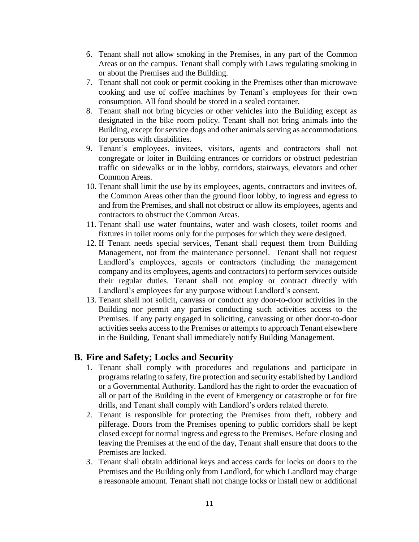- 6. Tenant shall not allow smoking in the Premises, in any part of the Common Areas or on the campus. Tenant shall comply with Laws regulating smoking in or about the Premises and the Building.
- 7. Tenant shall not cook or permit cooking in the Premises other than microwave cooking and use of coffee machines by Tenant's employees for their own consumption. All food should be stored in a sealed container.
- 8. Tenant shall not bring bicycles or other vehicles into the Building except as designated in the bike room policy. Tenant shall not bring animals into the Building, except for service dogs and other animals serving as accommodations for persons with disabilities.
- 9. Tenant's employees, invitees, visitors, agents and contractors shall not congregate or loiter in Building entrances or corridors or obstruct pedestrian traffic on sidewalks or in the lobby, corridors, stairways, elevators and other Common Areas.
- 10. Tenant shall limit the use by its employees, agents, contractors and invitees of, the Common Areas other than the ground floor lobby, to ingress and egress to and from the Premises, and shall not obstruct or allow its employees, agents and contractors to obstruct the Common Areas.
- 11. Tenant shall use water fountains, water and wash closets, toilet rooms and fixtures in toilet rooms only for the purposes for which they were designed.
- 12. If Tenant needs special services, Tenant shall request them from Building Management, not from the maintenance personnel. Tenant shall not request Landlord's employees, agents or contractors (including the management company and its employees, agents and contractors) to perform services outside their regular duties. Tenant shall not employ or contract directly with Landlord's employees for any purpose without Landlord's consent.
- 13. Tenant shall not solicit, canvass or conduct any door-to-door activities in the Building nor permit any parties conducting such activities access to the Premises. If any party engaged in soliciting, canvassing or other door-to-door activities seeks access to the Premises or attempts to approach Tenant elsewhere in the Building, Tenant shall immediately notify Building Management.

# **B. Fire and Safety; Locks and Security**

- 1. Tenant shall comply with procedures and regulations and participate in programs relating to safety, fire protection and security established by Landlord or a Governmental Authority. Landlord has the right to order the evacuation of all or part of the Building in the event of Emergency or catastrophe or for fire drills, and Tenant shall comply with Landlord's orders related thereto.
- 2. Tenant is responsible for protecting the Premises from theft, robbery and pilferage. Doors from the Premises opening to public corridors shall be kept closed except for normal ingress and egress to the Premises. Before closing and leaving the Premises at the end of the day, Tenant shall ensure that doors to the Premises are locked.
- 3. Tenant shall obtain additional keys and access cards for locks on doors to the Premises and the Building only from Landlord, for which Landlord may charge a reasonable amount. Tenant shall not change locks or install new or additional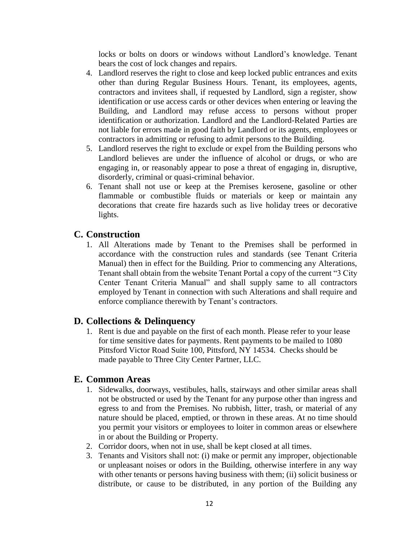locks or bolts on doors or windows without Landlord's knowledge. Tenant bears the cost of lock changes and repairs.

- 4. Landlord reserves the right to close and keep locked public entrances and exits other than during Regular Business Hours. Tenant, its employees, agents, contractors and invitees shall, if requested by Landlord, sign a register, show identification or use access cards or other devices when entering or leaving the Building, and Landlord may refuse access to persons without proper identification or authorization. Landlord and the Landlord-Related Parties are not liable for errors made in good faith by Landlord or its agents, employees or contractors in admitting or refusing to admit persons to the Building.
- 5. Landlord reserves the right to exclude or expel from the Building persons who Landlord believes are under the influence of alcohol or drugs, or who are engaging in, or reasonably appear to pose a threat of engaging in, disruptive, disorderly, criminal or quasi-criminal behavior.
- 6. Tenant shall not use or keep at the Premises kerosene, gasoline or other flammable or combustible fluids or materials or keep or maintain any decorations that create fire hazards such as live holiday trees or decorative lights.

# **C. Construction**

1. All Alterations made by Tenant to the Premises shall be performed in accordance with the construction rules and standards (see Tenant Criteria Manual) then in effect for the Building. Prior to commencing any Alterations, Tenant shall obtain from the website Tenant Portal a copy of the current "3 City Center Tenant Criteria Manual" and shall supply same to all contractors employed by Tenant in connection with such Alterations and shall require and enforce compliance therewith by Tenant's contractors.

# **D. Collections & Delinquency**

1. Rent is due and payable on the first of each month. Please refer to your lease for time sensitive dates for payments. Rent payments to be mailed to 1080 Pittsford Victor Road Suite 100, Pittsford, NY 14534. Checks should be made payable to Three City Center Partner, LLC.

# **E. Common Areas**

- 1. Sidewalks, doorways, vestibules, halls, stairways and other similar areas shall not be obstructed or used by the Tenant for any purpose other than ingress and egress to and from the Premises. No rubbish, litter, trash, or material of any nature should be placed, emptied, or thrown in these areas. At no time should you permit your visitors or employees to loiter in common areas or elsewhere in or about the Building or Property.
- 2. Corridor doors, when not in use, shall be kept closed at all times.
- 3. Tenants and Visitors shall not: (i) make or permit any improper, objectionable or unpleasant noises or odors in the Building, otherwise interfere in any way with other tenants or persons having business with them; (ii) solicit business or distribute, or cause to be distributed, in any portion of the Building any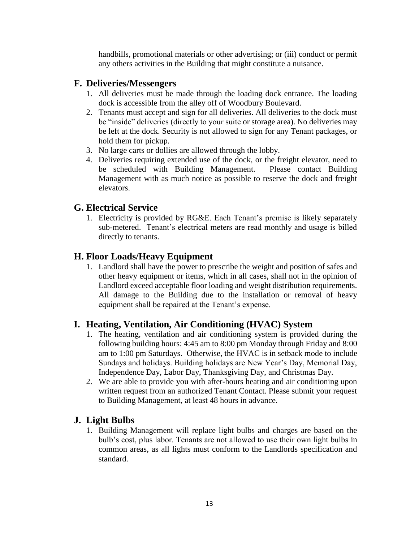handbills, promotional materials or other advertising; or (iii) conduct or permit any others activities in the Building that might constitute a nuisance.

# **F. Deliveries/Messengers**

- 1. All deliveries must be made through the loading dock entrance. The loading dock is accessible from the alley off of Woodbury Boulevard.
- 2. Tenants must accept and sign for all deliveries. All deliveries to the dock must be "inside" deliveries (directly to your suite or storage area). No deliveries may be left at the dock. Security is not allowed to sign for any Tenant packages, or hold them for pickup.
- 3. No large carts or dollies are allowed through the lobby.
- 4. Deliveries requiring extended use of the dock, or the freight elevator, need to be scheduled with Building Management. Please contact Building Management with as much notice as possible to reserve the dock and freight elevators.

# **G. Electrical Service**

1. Electricity is provided by RG&E. Each Tenant's premise is likely separately sub-metered. Tenant's electrical meters are read monthly and usage is billed directly to tenants.

# **H. Floor Loads/Heavy Equipment**

1. Landlord shall have the power to prescribe the weight and position of safes and other heavy equipment or items, which in all cases, shall not in the opinion of Landlord exceed acceptable floor loading and weight distribution requirements. All damage to the Building due to the installation or removal of heavy equipment shall be repaired at the Tenant's expense.

# **I. Heating, Ventilation, Air Conditioning (HVAC) System**

- 1. The heating, ventilation and air conditioning system is provided during the following building hours: 4:45 am to 8:00 pm Monday through Friday and 8:00 am to 1:00 pm Saturdays. Otherwise, the HVAC is in setback mode to include Sundays and holidays. Building holidays are New Year's Day, Memorial Day, Independence Day, Labor Day, Thanksgiving Day, and Christmas Day.
- 2. We are able to provide you with after-hours heating and air conditioning upon written request from an authorized Tenant Contact. Please submit your request to Building Management, at least 48 hours in advance.

# **J. Light Bulbs**

1. Building Management will replace light bulbs and charges are based on the bulb's cost, plus labor. Tenants are not allowed to use their own light bulbs in common areas, as all lights must conform to the Landlords specification and standard.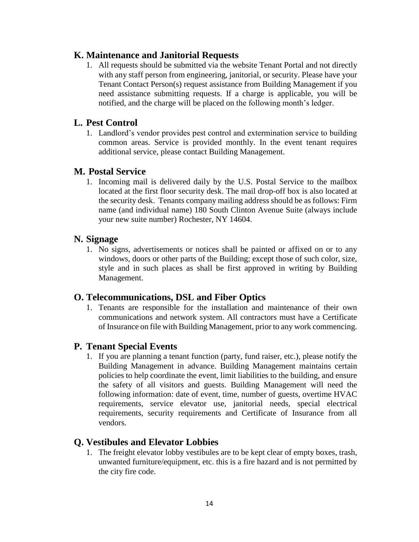# **K. Maintenance and Janitorial Requests**

1. All requests should be submitted via the website Tenant Portal and not directly with any staff person from engineering, janitorial, or security. Please have your Tenant Contact Person(s) request assistance from Building Management if you need assistance submitting requests. If a charge is applicable, you will be notified, and the charge will be placed on the following month's ledger.

# **L. Pest Control**

1. Landlord's vendor provides pest control and extermination service to building common areas. Service is provided monthly. In the event tenant requires additional service, please contact Building Management.

# **M. Postal Service**

1. Incoming mail is delivered daily by the U.S. Postal Service to the mailbox located at the first floor security desk. The mail drop-off box is also located at the security desk. Tenants company mailing address should be as follows: Firm name (and individual name) 180 South Clinton Avenue Suite (always include your new suite number) Rochester, NY 14604.

# **N. Signage**

1. No signs, advertisements or notices shall be painted or affixed on or to any windows, doors or other parts of the Building; except those of such color, size, style and in such places as shall be first approved in writing by Building Management.

# **O. Telecommunications, DSL and Fiber Optics**

1. Tenants are responsible for the installation and maintenance of their own communications and network system. All contractors must have a Certificate of Insurance on file with Building Management, prior to any work commencing.

# **P. Tenant Special Events**

1. If you are planning a tenant function (party, fund raiser, etc.), please notify the Building Management in advance. Building Management maintains certain policies to help coordinate the event, limit liabilities to the building, and ensure the safety of all visitors and guests. Building Management will need the following information: date of event, time, number of guests, overtime HVAC requirements, service elevator use, janitorial needs, special electrical requirements, security requirements and Certificate of Insurance from all vendors.

# **Q. Vestibules and Elevator Lobbies**

1. The freight elevator lobby vestibules are to be kept clear of empty boxes, trash, unwanted furniture/equipment, etc. this is a fire hazard and is not permitted by the city fire code.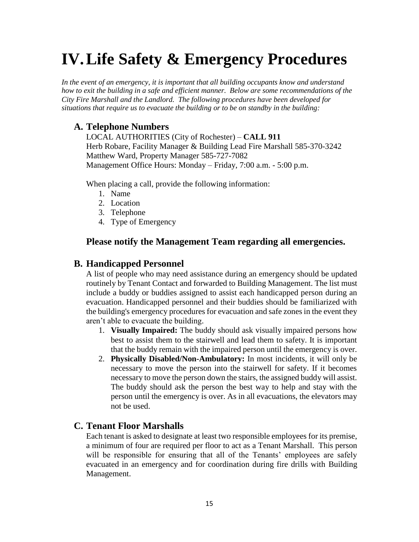# **IV.Life Safety & Emergency Procedures**

In the event of an emergency, it is important that all building occupants know and understand *how to exit the building in a safe and efficient manner. Below are some recommendations of the City Fire Marshall and the Landlord. The following procedures have been developed for situations that require us to evacuate the building or to be on standby in the building:*

# **A. Telephone Numbers**

LOCAL AUTHORITIES (City of Rochester) – **CALL 911** Herb Robare, Facility Manager & Building Lead Fire Marshall 585-370-3242 Matthew Ward, Property Manager 585-727-7082 Management Office Hours: Monday – Friday, 7:00 a.m. - 5:00 p.m.

When placing a call, provide the following information:

- 1. Name
- 2. Location
- 3. Telephone
- 4. Type of Emergency

# **Please notify the Management Team regarding all emergencies.**

#### **B. Handicapped Personnel**

A list of people who may need assistance during an emergency should be updated routinely by Tenant Contact and forwarded to Building Management. The list must include a buddy or buddies assigned to assist each handicapped person during an evacuation. Handicapped personnel and their buddies should be familiarized with the building's emergency procedures for evacuation and safe zones in the event they aren't able to evacuate the building.

- 1. **Visually Impaired:** The buddy should ask visually impaired persons how best to assist them to the stairwell and lead them to safety. It is important that the buddy remain with the impaired person until the emergency is over.
- 2. **Physically Disabled/Non-Ambulatory:** In most incidents, it will only be necessary to move the person into the stairwell for safety. If it becomes necessary to move the person down the stairs, the assigned buddy will assist. The buddy should ask the person the best way to help and stay with the person until the emergency is over. As in all evacuations, the elevators may not be used.

# **C. Tenant Floor Marshalls**

Each tenant is asked to designate at least two responsible employees for its premise, a minimum of four are required per floor to act as a Tenant Marshall. This person will be responsible for ensuring that all of the Tenants' employees are safely evacuated in an emergency and for coordination during fire drills with Building Management.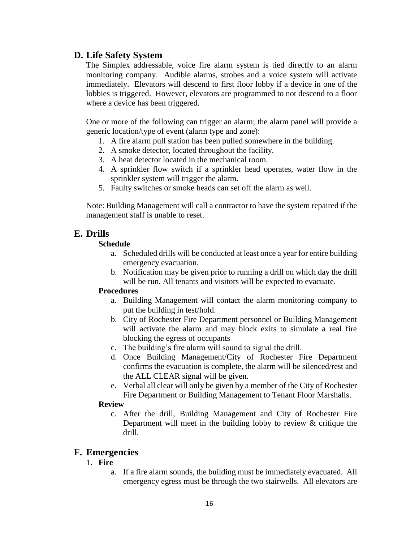# **D. Life Safety System**

The Simplex addressable, voice fire alarm system is tied directly to an alarm monitoring company. Audible alarms, strobes and a voice system will activate immediately. Elevators will descend to first floor lobby if a device in one of the lobbies is triggered. However, elevators are programmed to not descend to a floor where a device has been triggered.

One or more of the following can trigger an alarm; the alarm panel will provide a generic location/type of event (alarm type and zone):

- 1. A fire alarm pull station has been pulled somewhere in the building.
- 2. A smoke detector, located throughout the facility.
- 3. A heat detector located in the mechanical room.
- 4. A sprinkler flow switch if a sprinkler head operates, water flow in the sprinkler system will trigger the alarm.
- 5. Faulty switches or smoke heads can set off the alarm as well.

Note: Building Management will call a contractor to have the system repaired if the management staff is unable to reset.

### **E. Drills**

#### **Schedule**

- a. Scheduled drills will be conducted at least once a year for entire building emergency evacuation.
- b. Notification may be given prior to running a drill on which day the drill will be run. All tenants and visitors will be expected to evacuate.

#### **Procedures**

- a. Building Management will contact the alarm monitoring company to put the building in test/hold.
- b. City of Rochester Fire Department personnel or Building Management will activate the alarm and may block exits to simulate a real fire blocking the egress of occupants
- c. The building's fire alarm will sound to signal the drill.
- d. Once Building Management/City of Rochester Fire Department confirms the evacuation is complete, the alarm will be silenced/rest and the ALL CLEAR signal will be given.
- e. Verbal all clear will only be given by a member of the City of Rochester Fire Department or Building Management to Tenant Floor Marshalls.

#### **Review**

c. After the drill, Building Management and City of Rochester Fire Department will meet in the building lobby to review & critique the drill.

# **F. Emergencies**

#### 1. **Fire**

a. If a fire alarm sounds, the building must be immediately evacuated. All emergency egress must be through the two stairwells. All elevators are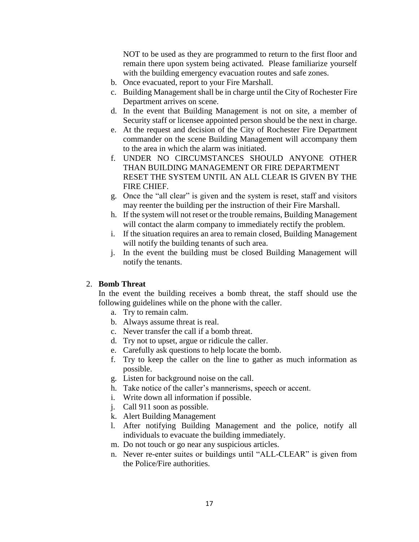NOT to be used as they are programmed to return to the first floor and remain there upon system being activated. Please familiarize yourself with the building emergency evacuation routes and safe zones.

- b. Once evacuated, report to your Fire Marshall.
- c. Building Management shall be in charge until the City of Rochester Fire Department arrives on scene.
- d. In the event that Building Management is not on site, a member of Security staff or licensee appointed person should be the next in charge.
- e. At the request and decision of the City of Rochester Fire Department commander on the scene Building Management will accompany them to the area in which the alarm was initiated.
- f. UNDER NO CIRCUMSTANCES SHOULD ANYONE OTHER THAN BUILDING MANAGEMENT OR FIRE DEPARTMENT RESET THE SYSTEM UNTIL AN ALL CLEAR IS GIVEN BY THE FIRE CHIEF.
- g. Once the "all clear" is given and the system is reset, staff and visitors may reenter the building per the instruction of their Fire Marshall.
- h. If the system will not reset or the trouble remains, Building Management will contact the alarm company to immediately rectify the problem.
- i. If the situation requires an area to remain closed, Building Management will notify the building tenants of such area.
- j. In the event the building must be closed Building Management will notify the tenants.

#### 2. **Bomb Threat**

In the event the building receives a bomb threat, the staff should use the following guidelines while on the phone with the caller.

- a. Try to remain calm.
- b. Always assume threat is real.
- c. Never transfer the call if a bomb threat.
- d. Try not to upset, argue or ridicule the caller.
- e. Carefully ask questions to help locate the bomb.
- f. Try to keep the caller on the line to gather as much information as possible.
- g. Listen for background noise on the call.
- h. Take notice of the caller's mannerisms, speech or accent.
- i. Write down all information if possible.
- j. Call 911 soon as possible.
- k. Alert Building Management
- l. After notifying Building Management and the police, notify all individuals to evacuate the building immediately.
- m. Do not touch or go near any suspicious articles.
- n. Never re-enter suites or buildings until "ALL-CLEAR" is given from the Police/Fire authorities.